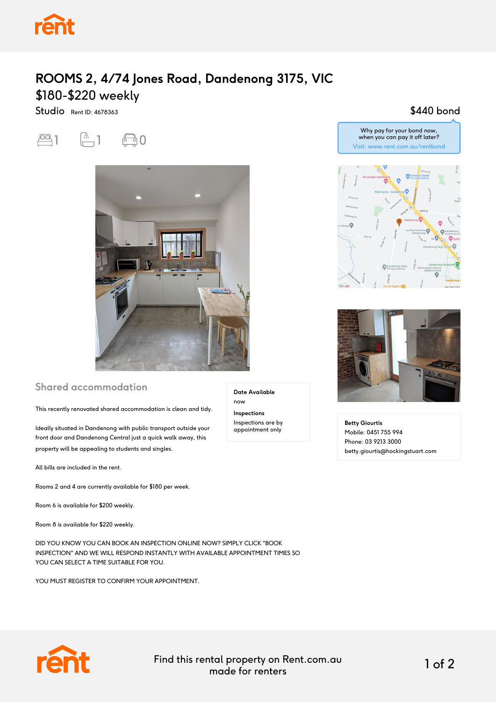

## **ROOMS 2, 4/74 Jones Road, Dandenong 3175, VIC** \$180-\$220 weekly

Studio Rent ID: 4678363

 $-1$   $-1$   $-0$ 



#### **Shared accommodation**

This recently renovated shared accommodation is clean and tidy.

Ideally situated in Dandenong with public transport outside your front door and Dandenong Central just a quick walk away, this property will be appealing to students and singles.

All bills are included in the rent.

Rooms 2 and 4 are currently available for \$180 per week.

Room 6 is available for \$200 weekly.

Room 8 is available for \$220 weekly.

DID YOU KNOW YOU CAN BOOK AN INSPECTION ONLINE NOW? SIMPLY CLICK "BOOK INSPECTION" AND WE WILL RESPOND INSTANTLY WITH AVAILABLE APPOINTMENT TIMES SO YOU CAN SELECT A TIME SUITABLE FOR YOU.

YOU MUST REGISTER TO CONFIRM YOUR APPOINTMENT.

**Date Available** now **Inspections** Inspections are by appointment only

#### \$440 bond





**Betty Giourtis** Mobile: 0451 755 994 Phone: 03 9213 3000 betty.giourtis@hockingstuart.com



Find this rental property on Rent.com.au made for renters 1 of 2